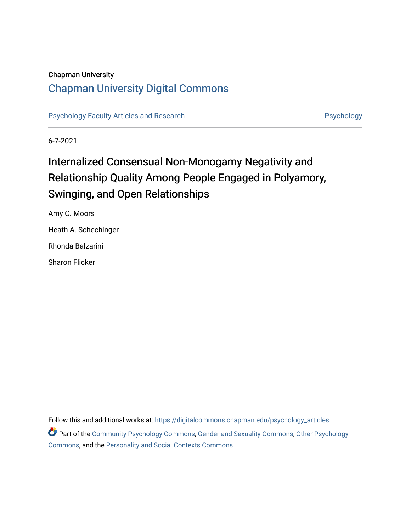### Chapman University

## [Chapman University Digital Commons](https://digitalcommons.chapman.edu/)

[Psychology Faculty Articles and Research](https://digitalcommons.chapman.edu/psychology_articles) **Psychology** Psychology

6-7-2021

# Internalized Consensual Non-Monogamy Negativity and Relationship Quality Among People Engaged in Polyamory, Swinging, and Open Relationships

Amy C. Moors Heath A. Schechinger Rhonda Balzarini Sharon Flicker

Follow this and additional works at: [https://digitalcommons.chapman.edu/psychology\\_articles](https://digitalcommons.chapman.edu/psychology_articles?utm_source=digitalcommons.chapman.edu%2Fpsychology_articles%2F261&utm_medium=PDF&utm_campaign=PDFCoverPages) Part of the [Community Psychology Commons,](http://network.bepress.com/hgg/discipline/409?utm_source=digitalcommons.chapman.edu%2Fpsychology_articles%2F261&utm_medium=PDF&utm_campaign=PDFCoverPages) [Gender and Sexuality Commons](http://network.bepress.com/hgg/discipline/420?utm_source=digitalcommons.chapman.edu%2Fpsychology_articles%2F261&utm_medium=PDF&utm_campaign=PDFCoverPages), [Other Psychology](http://network.bepress.com/hgg/discipline/415?utm_source=digitalcommons.chapman.edu%2Fpsychology_articles%2F261&utm_medium=PDF&utm_campaign=PDFCoverPages) [Commons](http://network.bepress.com/hgg/discipline/415?utm_source=digitalcommons.chapman.edu%2Fpsychology_articles%2F261&utm_medium=PDF&utm_campaign=PDFCoverPages), and the [Personality and Social Contexts Commons](http://network.bepress.com/hgg/discipline/413?utm_source=digitalcommons.chapman.edu%2Fpsychology_articles%2F261&utm_medium=PDF&utm_campaign=PDFCoverPages)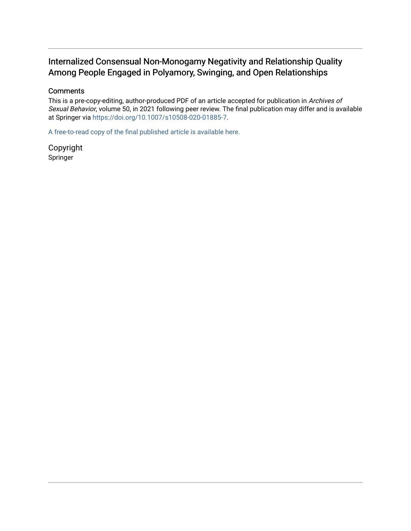## Internalized Consensual Non-Monogamy Negativity and Relationship Quality Among People Engaged in Polyamory, Swinging, and Open Relationships

### **Comments**

This is a pre-copy-editing, author-produced PDF of an article accepted for publication in Archives of Sexual Behavior, volume 50, in 2021 following peer review. The final publication may differ and is available at Springer via <https://doi.org/10.1007/s10508-020-01885-7>.

[A free-to-read copy of the final published article is available here.](https://rdcu.be/ctIPu) 

Copyright Springer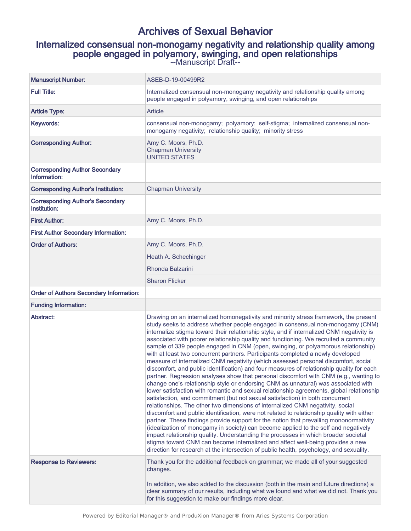# Archives of Sexual Behavior

# Internalized consensual non-monogamy negativity and relationship quality among people engaged in polyamory, swinging, and open relationships

--Manuscript Draft--

| <b>Manuscript Number:</b>                               | ASEB-D-19-00499R2                                                                                                                                                                                                                                                                                                                                                                                                                                                                                                                                                                                                                                                                                                                                                                                                                                                                                                                                                                                                                                                                                                                                                                                                                                                                                                                                                                                                                                                                                                                                                                                                                                                                                                       |  |  |  |  |  |  |
|---------------------------------------------------------|-------------------------------------------------------------------------------------------------------------------------------------------------------------------------------------------------------------------------------------------------------------------------------------------------------------------------------------------------------------------------------------------------------------------------------------------------------------------------------------------------------------------------------------------------------------------------------------------------------------------------------------------------------------------------------------------------------------------------------------------------------------------------------------------------------------------------------------------------------------------------------------------------------------------------------------------------------------------------------------------------------------------------------------------------------------------------------------------------------------------------------------------------------------------------------------------------------------------------------------------------------------------------------------------------------------------------------------------------------------------------------------------------------------------------------------------------------------------------------------------------------------------------------------------------------------------------------------------------------------------------------------------------------------------------------------------------------------------------|--|--|--|--|--|--|
| <b>Full Title:</b>                                      | Internalized consensual non-monogamy negativity and relationship quality among<br>people engaged in polyamory, swinging, and open relationships                                                                                                                                                                                                                                                                                                                                                                                                                                                                                                                                                                                                                                                                                                                                                                                                                                                                                                                                                                                                                                                                                                                                                                                                                                                                                                                                                                                                                                                                                                                                                                         |  |  |  |  |  |  |
| <b>Article Type:</b>                                    | Article                                                                                                                                                                                                                                                                                                                                                                                                                                                                                                                                                                                                                                                                                                                                                                                                                                                                                                                                                                                                                                                                                                                                                                                                                                                                                                                                                                                                                                                                                                                                                                                                                                                                                                                 |  |  |  |  |  |  |
| Keywords:                                               | consensual non-monogamy; polyamory; self-stigma; internalized consensual non-<br>monogamy negativity; relationship quality; minority stress                                                                                                                                                                                                                                                                                                                                                                                                                                                                                                                                                                                                                                                                                                                                                                                                                                                                                                                                                                                                                                                                                                                                                                                                                                                                                                                                                                                                                                                                                                                                                                             |  |  |  |  |  |  |
| <b>Corresponding Author:</b>                            | Amy C. Moors, Ph.D.<br><b>Chapman University</b><br><b>UNITED STATES</b>                                                                                                                                                                                                                                                                                                                                                                                                                                                                                                                                                                                                                                                                                                                                                                                                                                                                                                                                                                                                                                                                                                                                                                                                                                                                                                                                                                                                                                                                                                                                                                                                                                                |  |  |  |  |  |  |
| <b>Corresponding Author Secondary</b><br>Information:   |                                                                                                                                                                                                                                                                                                                                                                                                                                                                                                                                                                                                                                                                                                                                                                                                                                                                                                                                                                                                                                                                                                                                                                                                                                                                                                                                                                                                                                                                                                                                                                                                                                                                                                                         |  |  |  |  |  |  |
| <b>Corresponding Author's Institution:</b>              | <b>Chapman University</b>                                                                                                                                                                                                                                                                                                                                                                                                                                                                                                                                                                                                                                                                                                                                                                                                                                                                                                                                                                                                                                                                                                                                                                                                                                                                                                                                                                                                                                                                                                                                                                                                                                                                                               |  |  |  |  |  |  |
| <b>Corresponding Author's Secondary</b><br>Institution: |                                                                                                                                                                                                                                                                                                                                                                                                                                                                                                                                                                                                                                                                                                                                                                                                                                                                                                                                                                                                                                                                                                                                                                                                                                                                                                                                                                                                                                                                                                                                                                                                                                                                                                                         |  |  |  |  |  |  |
| <b>First Author:</b>                                    | Amy C. Moors, Ph.D.                                                                                                                                                                                                                                                                                                                                                                                                                                                                                                                                                                                                                                                                                                                                                                                                                                                                                                                                                                                                                                                                                                                                                                                                                                                                                                                                                                                                                                                                                                                                                                                                                                                                                                     |  |  |  |  |  |  |
| <b>First Author Secondary Information:</b>              |                                                                                                                                                                                                                                                                                                                                                                                                                                                                                                                                                                                                                                                                                                                                                                                                                                                                                                                                                                                                                                                                                                                                                                                                                                                                                                                                                                                                                                                                                                                                                                                                                                                                                                                         |  |  |  |  |  |  |
| <b>Order of Authors:</b>                                | Amy C. Moors, Ph.D.                                                                                                                                                                                                                                                                                                                                                                                                                                                                                                                                                                                                                                                                                                                                                                                                                                                                                                                                                                                                                                                                                                                                                                                                                                                                                                                                                                                                                                                                                                                                                                                                                                                                                                     |  |  |  |  |  |  |
|                                                         | Heath A. Schechinger                                                                                                                                                                                                                                                                                                                                                                                                                                                                                                                                                                                                                                                                                                                                                                                                                                                                                                                                                                                                                                                                                                                                                                                                                                                                                                                                                                                                                                                                                                                                                                                                                                                                                                    |  |  |  |  |  |  |
|                                                         | Rhonda Balzarini                                                                                                                                                                                                                                                                                                                                                                                                                                                                                                                                                                                                                                                                                                                                                                                                                                                                                                                                                                                                                                                                                                                                                                                                                                                                                                                                                                                                                                                                                                                                                                                                                                                                                                        |  |  |  |  |  |  |
|                                                         | <b>Sharon Flicker</b>                                                                                                                                                                                                                                                                                                                                                                                                                                                                                                                                                                                                                                                                                                                                                                                                                                                                                                                                                                                                                                                                                                                                                                                                                                                                                                                                                                                                                                                                                                                                                                                                                                                                                                   |  |  |  |  |  |  |
| <b>Order of Authors Secondary Information:</b>          |                                                                                                                                                                                                                                                                                                                                                                                                                                                                                                                                                                                                                                                                                                                                                                                                                                                                                                                                                                                                                                                                                                                                                                                                                                                                                                                                                                                                                                                                                                                                                                                                                                                                                                                         |  |  |  |  |  |  |
| <b>Funding Information:</b>                             |                                                                                                                                                                                                                                                                                                                                                                                                                                                                                                                                                                                                                                                                                                                                                                                                                                                                                                                                                                                                                                                                                                                                                                                                                                                                                                                                                                                                                                                                                                                                                                                                                                                                                                                         |  |  |  |  |  |  |
| Abstract:                                               | Drawing on an internalized homonegativity and minority stress framework, the present<br>study seeks to address whether people engaged in consensual non-monogamy (CNM)<br>internalize stigma toward their relationship style, and if internalized CNM negativity is<br>associated with poorer relationship quality and functioning. We recruited a community<br>sample of 339 people engaged in CNM (open, swinging, or polyamorous relationship)<br>with at least two concurrent partners. Participants completed a newly developed<br>measure of internalized CNM negativity (which assessed personal discomfort, social<br>discomfort, and public identification) and four measures of relationship quality for each<br>partner. Regression analyses show that personal discomfort with CNM (e.g., wanting to<br>change one's relationship style or endorsing CNM as unnatural) was associated with<br>lower satisfaction with romantic and sexual relationship agreements, global relationship<br>satisfaction, and commitment (but not sexual satisfaction) in both concurrent<br>relationships. The other two dimensions of internalized CNM negativity, social<br>discomfort and public identification, were not related to relationship quality with either<br>partner. These findings provide support for the notion that prevailing mononormativity<br>(idealization of monogamy in society) can become applied to the self and negatively<br>impact relationship quality. Understanding the processes in which broader societal<br>stigma toward CNM can become internalized and affect well-being provides a new<br>direction for research at the intersection of public health, psychology, and sexuality. |  |  |  |  |  |  |
| <b>Response to Reviewers:</b>                           | Thank you for the additional feedback on grammar; we made all of your suggested<br>changes.<br>In addition, we also added to the discussion (both in the main and future directions) a<br>clear summary of our results, including what we found and what we did not. Thank you<br>for this suggestion to make our findings more clear.                                                                                                                                                                                                                                                                                                                                                                                                                                                                                                                                                                                                                                                                                                                                                                                                                                                                                                                                                                                                                                                                                                                                                                                                                                                                                                                                                                                  |  |  |  |  |  |  |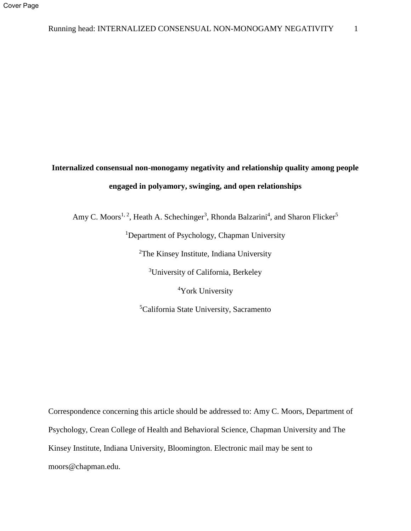# **Internalized consensual non-monogamy negativity and relationship quality among people engaged in polyamory, swinging, and open relationships**

Amy C. Moors<sup>1, 2</sup>, Heath A. Schechinger<sup>3</sup>, Rhonda Balzarini<sup>4</sup>, and Sharon Flicker<sup>5</sup>

<sup>1</sup>Department of Psychology, Chapman University

<sup>2</sup>The Kinsey Institute, Indiana University

<sup>3</sup>University of California, Berkeley

<sup>4</sup>York University

<sup>5</sup>California State University, Sacramento

Correspondence concerning this article should be addressed to: Amy C. Moors, Department of Psychology, Crean College of Health and Behavioral Science, Chapman University and The Kinsey Institute, Indiana University, Bloomington. Electronic mail may be sent to moors@chapman.edu.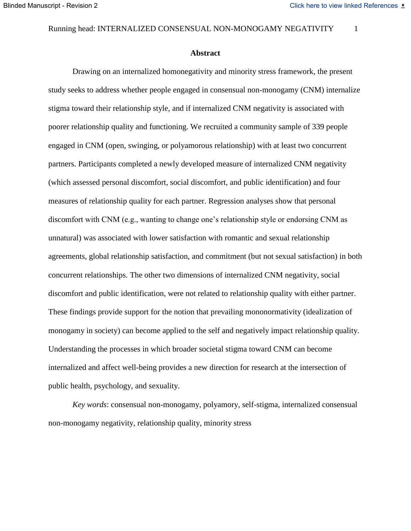#### Running head: INTERNALIZED CONSENSUAL NON-MONOGAMY NEGATIVITY 1

#### **Abstract**

Drawing on an internalized homonegativity and minority stress framework, the present study seeks to address whether people engaged in consensual non-monogamy (CNM) internalize stigma toward their relationship style, and if internalized CNM negativity is associated with poorer relationship quality and functioning. We recruited a community sample of 339 people engaged in CNM (open, swinging, or polyamorous relationship) with at least two concurrent partners. Participants completed a newly developed measure of internalized CNM negativity (which assessed personal discomfort, social discomfort, and public identification) and four measures of relationship quality for each partner. Regression analyses show that personal discomfort with CNM (e.g., wanting to change one's relationship style or endorsing CNM as unnatural) was associated with lower satisfaction with romantic and sexual relationship agreements, global relationship satisfaction, and commitment (but not sexual satisfaction) in both concurrent relationships. The other two dimensions of internalized CNM negativity, social discomfort and public identification, were not related to relationship quality with either partner. These findings provide support for the notion that prevailing mononormativity (idealization of monogamy in society) can become applied to the self and negatively impact relationship quality. Understanding the processes in which broader societal stigma toward CNM can become internalized and affect well-being provides a new direction for research at the intersection of public health, psychology, and sexuality.

*Key words*: consensual non-monogamy, polyamory, self-stigma, internalized consensual non-monogamy negativity, relationship quality, minority stress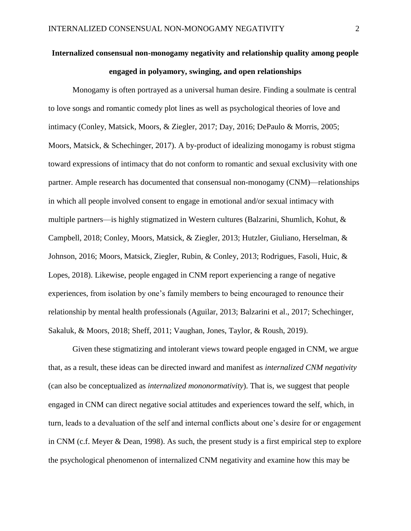# **Internalized consensual non-monogamy negativity and relationship quality among people engaged in polyamory, swinging, and open relationships**

Monogamy is often portrayed as a universal human desire. Finding a soulmate is central to love songs and romantic comedy plot lines as well as psychological theories of love and intimacy (Conley, Matsick, Moors, & Ziegler, 2017; Day, 2016; DePaulo & Morris, 2005; Moors, Matsick, & Schechinger, 2017). A by-product of idealizing monogamy is robust stigma toward expressions of intimacy that do not conform to romantic and sexual exclusivity with one partner. Ample research has documented that consensual non-monogamy (CNM)—relationships in which all people involved consent to engage in emotional and/or sexual intimacy with multiple partners—is highly stigmatized in Western cultures (Balzarini, Shumlich, Kohut, & Campbell, 2018; Conley, Moors, Matsick, & Ziegler, 2013; Hutzler, Giuliano, Herselman, & Johnson, 2016; Moors, Matsick, Ziegler, Rubin, & Conley, 2013; Rodrigues, Fasoli, Huic, & Lopes, 2018). Likewise, people engaged in CNM report experiencing a range of negative experiences, from isolation by one's family members to being encouraged to renounce their relationship by mental health professionals (Aguilar, 2013; Balzarini et al., 2017; Schechinger, Sakaluk, & Moors, 2018; Sheff, 2011; Vaughan, Jones, Taylor, & Roush, 2019).

Given these stigmatizing and intolerant views toward people engaged in CNM, we argue that, as a result, these ideas can be directed inward and manifest as *internalized CNM negativity* (can also be conceptualized as *internalized mononormativity*). That is, we suggest that people engaged in CNM can direct negative social attitudes and experiences toward the self, which, in turn, leads to a devaluation of the self and internal conflicts about one's desire for or engagement in CNM (c.f. Meyer & Dean, 1998). As such, the present study is a first empirical step to explore the psychological phenomenon of internalized CNM negativity and examine how this may be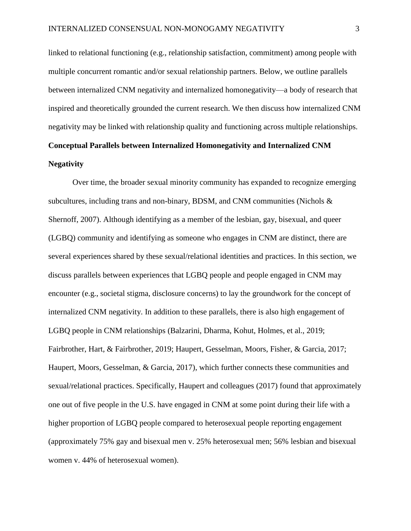linked to relational functioning (e.g., relationship satisfaction, commitment) among people with multiple concurrent romantic and/or sexual relationship partners. Below, we outline parallels between internalized CNM negativity and internalized homonegativity—a body of research that inspired and theoretically grounded the current research. We then discuss how internalized CNM negativity may be linked with relationship quality and functioning across multiple relationships.

# **Conceptual Parallels between Internalized Homonegativity and Internalized CNM Negativity**

Over time, the broader sexual minority community has expanded to recognize emerging subcultures, including trans and non-binary, BDSM, and CNM communities (Nichols & Shernoff, 2007). Although identifying as a member of the lesbian, gay, bisexual, and queer (LGBQ) community and identifying as someone who engages in CNM are distinct, there are several experiences shared by these sexual/relational identities and practices. In this section, we discuss parallels between experiences that LGBQ people and people engaged in CNM may encounter (e.g., societal stigma, disclosure concerns) to lay the groundwork for the concept of internalized CNM negativity. In addition to these parallels, there is also high engagement of LGBQ people in CNM relationships (Balzarini, Dharma, Kohut, Holmes, et al., 2019; Fairbrother, Hart, & Fairbrother, 2019; Haupert, Gesselman, Moors, Fisher, & Garcia, 2017; Haupert, Moors, Gesselman, & Garcia, 2017), which further connects these communities and sexual/relational practices. Specifically, Haupert and colleagues (2017) found that approximately one out of five people in the U.S. have engaged in CNM at some point during their life with a higher proportion of LGBQ people compared to heterosexual people reporting engagement (approximately 75% gay and bisexual men v. 25% heterosexual men; 56% lesbian and bisexual women v. 44% of heterosexual women).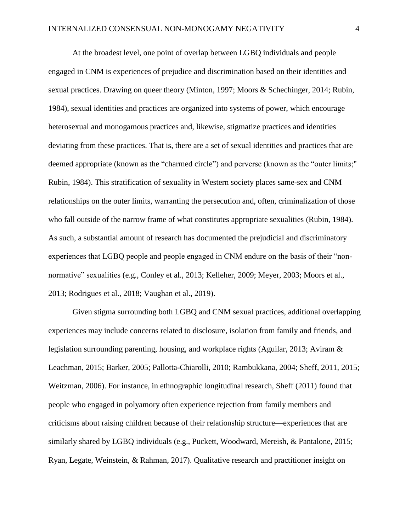At the broadest level, one point of overlap between LGBQ individuals and people engaged in CNM is experiences of prejudice and discrimination based on their identities and sexual practices. Drawing on queer theory (Minton, 1997; Moors & Schechinger, 2014; Rubin, 1984), sexual identities and practices are organized into systems of power, which encourage heterosexual and monogamous practices and, likewise, stigmatize practices and identities deviating from these practices. That is, there are a set of sexual identities and practices that are deemed appropriate (known as the "charmed circle") and perverse (known as the "outer limits;" Rubin, 1984). This stratification of sexuality in Western society places same-sex and CNM relationships on the outer limits, warranting the persecution and, often, criminalization of those who fall outside of the narrow frame of what constitutes appropriate sexualities (Rubin, 1984). As such, a substantial amount of research has documented the prejudicial and discriminatory experiences that LGBQ people and people engaged in CNM endure on the basis of their "nonnormative" sexualities (e.g., Conley et al., 2013; Kelleher, 2009; Meyer, 2003; Moors et al., 2013; Rodrigues et al., 2018; Vaughan et al., 2019).

Given stigma surrounding both LGBQ and CNM sexual practices, additional overlapping experiences may include concerns related to disclosure, isolation from family and friends, and legislation surrounding parenting, housing, and workplace rights (Aguilar, 2013; Aviram & Leachman, 2015; Barker, 2005; Pallotta-Chiarolli, 2010; Rambukkana, 2004; Sheff, 2011, 2015; Weitzman, 2006). For instance, in ethnographic longitudinal research, Sheff (2011) found that people who engaged in polyamory often experience rejection from family members and criticisms about raising children because of their relationship structure—experiences that are similarly shared by LGBQ individuals (e.g., Puckett, Woodward, Mereish, & Pantalone, 2015; Ryan, Legate, Weinstein, & Rahman, 2017). Qualitative research and practitioner insight on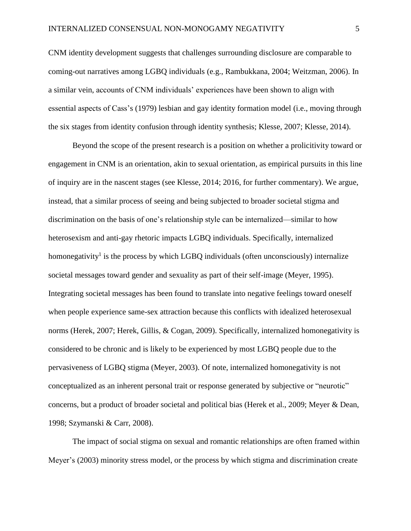CNM identity development suggests that challenges surrounding disclosure are comparable to coming-out narratives among LGBQ individuals (e.g., Rambukkana, 2004; Weitzman, 2006). In a similar vein, accounts of CNM individuals' experiences have been shown to align with essential aspects of Cass's (1979) lesbian and gay identity formation model (i.e., moving through the six stages from identity confusion through identity synthesis; Klesse, 2007; Klesse, 2014).

Beyond the scope of the present research is a position on whether a prolicitivity toward or engagement in CNM is an orientation, akin to sexual orientation, as empirical pursuits in this line of inquiry are in the nascent stages (see Klesse, 2014; 2016, for further commentary). We argue, instead, that a similar process of seeing and being subjected to broader societal stigma and discrimination on the basis of one's relationship style can be internalized—similar to how heterosexism and anti-gay rhetoric impacts LGBQ individuals. Specifically, internalized homonegativity<sup>1</sup> is the process by which LGBQ individuals (often unconsciously) internalize societal messages toward gender and sexuality as part of their self-image (Meyer, 1995). Integrating societal messages has been found to translate into negative feelings toward oneself when people experience same-sex attraction because this conflicts with idealized heterosexual norms (Herek, 2007; Herek, Gillis, & Cogan, 2009). Specifically, internalized homonegativity is considered to be chronic and is likely to be experienced by most LGBQ people due to the pervasiveness of LGBQ stigma (Meyer, 2003). Of note, internalized homonegativity is not conceptualized as an inherent personal trait or response generated by subjective or "neurotic" concerns, but a product of broader societal and political bias (Herek et al., 2009; Meyer & Dean, 1998; Szymanski & Carr, 2008).

The impact of social stigma on sexual and romantic relationships are often framed within Meyer's (2003) minority stress model, or the process by which stigma and discrimination create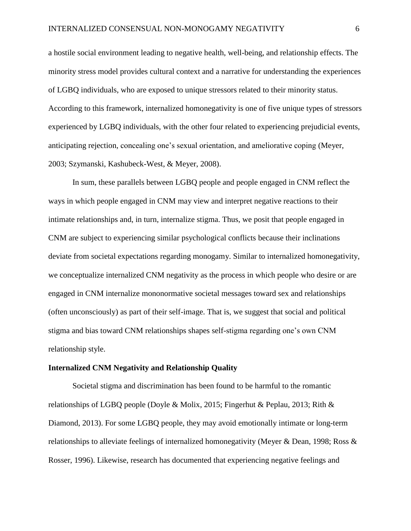a hostile social environment leading to negative health, well-being, and relationship effects. The minority stress model provides cultural context and a narrative for understanding the experiences of LGBQ individuals, who are exposed to unique stressors related to their minority status. According to this framework, internalized homonegativity is one of five unique types of stressors experienced by LGBQ individuals, with the other four related to experiencing prejudicial events, anticipating rejection, concealing one's sexual orientation, and ameliorative coping (Meyer, 2003; Szymanski, Kashubeck-West, & Meyer, 2008).

In sum, these parallels between LGBQ people and people engaged in CNM reflect the ways in which people engaged in CNM may view and interpret negative reactions to their intimate relationships and, in turn, internalize stigma. Thus, we posit that people engaged in CNM are subject to experiencing similar psychological conflicts because their inclinations deviate from societal expectations regarding monogamy. Similar to internalized homonegativity, we conceptualize internalized CNM negativity as the process in which people who desire or are engaged in CNM internalize mononormative societal messages toward sex and relationships (often unconsciously) as part of their self-image. That is, we suggest that social and political stigma and bias toward CNM relationships shapes self-stigma regarding one's own CNM relationship style.

#### **Internalized CNM Negativity and Relationship Quality**

Societal stigma and discrimination has been found to be harmful to the romantic relationships of LGBQ people (Doyle & Molix, 2015; Fingerhut & Peplau, 2013; Rith & Diamond, 2013). For some LGBQ people, they may avoid emotionally intimate or long-term relationships to alleviate feelings of internalized homonegativity (Meyer & Dean, 1998; Ross & Rosser, 1996). Likewise, research has documented that experiencing negative feelings and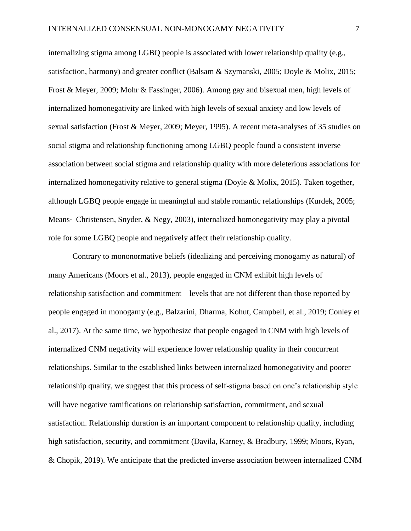internalizing stigma among LGBQ people is associated with lower relationship quality (e.g., satisfaction, harmony) and greater conflict (Balsam & Szymanski, 2005; Doyle & Molix, 2015; Frost & Meyer, 2009; Mohr & Fassinger, 2006). Among gay and bisexual men, high levels of internalized homonegativity are linked with high levels of sexual anxiety and low levels of sexual satisfaction (Frost & Meyer, 2009; Meyer, 1995). A recent meta-analyses of 35 studies on social stigma and relationship functioning among LGBQ people found a consistent inverse association between social stigma and relationship quality with more deleterious associations for internalized homonegativity relative to general stigma (Doyle & Molix, 2015). Taken together, although LGBQ people engage in meaningful and stable romantic relationships (Kurdek, 2005; Means- Christensen, Snyder, & Negy, 2003), internalized homonegativity may play a pivotal role for some LGBQ people and negatively affect their relationship quality.

Contrary to mononormative beliefs (idealizing and perceiving monogamy as natural) of many Americans (Moors et al., 2013), people engaged in CNM exhibit high levels of relationship satisfaction and commitment—levels that are not different than those reported by people engaged in monogamy (e.g., Balzarini, Dharma, Kohut, Campbell, et al., 2019; Conley et al., 2017). At the same time, we hypothesize that people engaged in CNM with high levels of internalized CNM negativity will experience lower relationship quality in their concurrent relationships. Similar to the established links between internalized homonegativity and poorer relationship quality, we suggest that this process of self-stigma based on one's relationship style will have negative ramifications on relationship satisfaction, commitment, and sexual satisfaction. Relationship duration is an important component to relationship quality, including high satisfaction, security, and commitment (Davila, Karney, & Bradbury, 1999; Moors, Ryan, & Chopik, 2019). We anticipate that the predicted inverse association between internalized CNM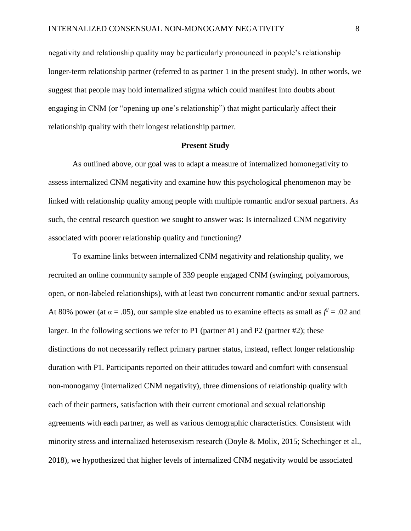negativity and relationship quality may be particularly pronounced in people's relationship longer-term relationship partner (referred to as partner 1 in the present study). In other words, we suggest that people may hold internalized stigma which could manifest into doubts about engaging in CNM (or "opening up one's relationship") that might particularly affect their relationship quality with their longest relationship partner.

#### **Present Study**

As outlined above, our goal was to adapt a measure of internalized homonegativity to assess internalized CNM negativity and examine how this psychological phenomenon may be linked with relationship quality among people with multiple romantic and/or sexual partners. As such, the central research question we sought to answer was: Is internalized CNM negativity associated with poorer relationship quality and functioning?

To examine links between internalized CNM negativity and relationship quality, we recruited an online community sample of 339 people engaged CNM (swinging, polyamorous, open, or non-labeled relationships), with at least two concurrent romantic and/or sexual partners. At 80% power (at  $\alpha = .05$ ), our sample size enabled us to examine effects as small as  $f^2 = .02$  and larger. In the following sections we refer to P1 (partner #1) and P2 (partner #2); these distinctions do not necessarily reflect primary partner status, instead, reflect longer relationship duration with P1. Participants reported on their attitudes toward and comfort with consensual non-monogamy (internalized CNM negativity), three dimensions of relationship quality with each of their partners, satisfaction with their current emotional and sexual relationship agreements with each partner, as well as various demographic characteristics. Consistent with minority stress and internalized heterosexism research (Doyle & Molix, 2015; Schechinger et al., 2018), we hypothesized that higher levels of internalized CNM negativity would be associated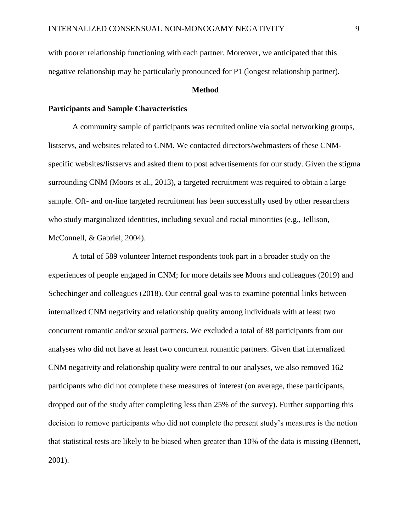with poorer relationship functioning with each partner. Moreover, we anticipated that this negative relationship may be particularly pronounced for P1 (longest relationship partner).

#### **Method**

#### **Participants and Sample Characteristics**

A community sample of participants was recruited online via social networking groups, listservs, and websites related to CNM. We contacted directors/webmasters of these CNMspecific websites/listservs and asked them to post advertisements for our study. Given the stigma surrounding CNM (Moors et al., 2013), a targeted recruitment was required to obtain a large sample. Off- and on-line targeted recruitment has been successfully used by other researchers who study marginalized identities, including sexual and racial minorities (e.g., Jellison, McConnell, & Gabriel, 2004).

A total of 589 volunteer Internet respondents took part in a broader study on the experiences of people engaged in CNM; for more details see Moors and colleagues (2019) and Schechinger and colleagues (2018). Our central goal was to examine potential links between internalized CNM negativity and relationship quality among individuals with at least two concurrent romantic and/or sexual partners. We excluded a total of 88 participants from our analyses who did not have at least two concurrent romantic partners. Given that internalized CNM negativity and relationship quality were central to our analyses, we also removed 162 participants who did not complete these measures of interest (on average, these participants, dropped out of the study after completing less than 25% of the survey). Further supporting this decision to remove participants who did not complete the present study's measures is the notion that statistical tests are likely to be biased when greater than 10% of the data is missing (Bennett, 2001).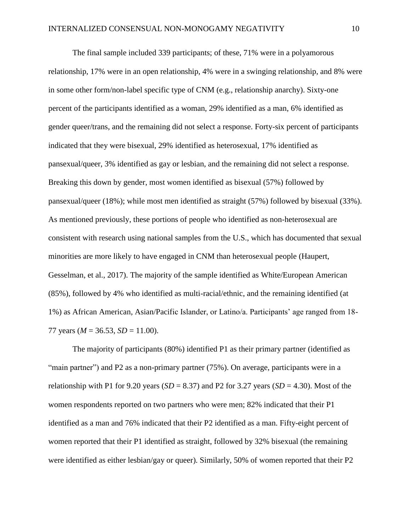The final sample included 339 participants; of these, 71% were in a polyamorous relationship, 17% were in an open relationship, 4% were in a swinging relationship, and 8% were in some other form/non-label specific type of CNM (e.g., relationship anarchy). Sixty-one percent of the participants identified as a woman, 29% identified as a man, 6% identified as gender queer/trans, and the remaining did not select a response. Forty-six percent of participants indicated that they were bisexual, 29% identified as heterosexual, 17% identified as pansexual/queer, 3% identified as gay or lesbian, and the remaining did not select a response. Breaking this down by gender, most women identified as bisexual (57%) followed by pansexual/queer (18%); while most men identified as straight (57%) followed by bisexual (33%). As mentioned previously, these portions of people who identified as non-heterosexual are consistent with research using national samples from the U.S., which has documented that sexual minorities are more likely to have engaged in CNM than heterosexual people (Haupert, Gesselman, et al., 2017). The majority of the sample identified as White/European American (85%), followed by 4% who identified as multi-racial/ethnic, and the remaining identified (at 1%) as African American, Asian/Pacific Islander, or Latino/a. Participants' age ranged from 18- 77 years ( $M = 36.53$ ,  $SD = 11.00$ ).

The majority of participants (80%) identified P1 as their primary partner (identified as "main partner") and P2 as a non-primary partner (75%). On average, participants were in a relationship with P1 for 9.20 years  $(SD = 8.37)$  and P2 for 3.27 years  $(SD = 4.30)$ . Most of the women respondents reported on two partners who were men; 82% indicated that their P1 identified as a man and 76% indicated that their P2 identified as a man. Fifty-eight percent of women reported that their P1 identified as straight, followed by 32% bisexual (the remaining were identified as either lesbian/gay or queer). Similarly, 50% of women reported that their P2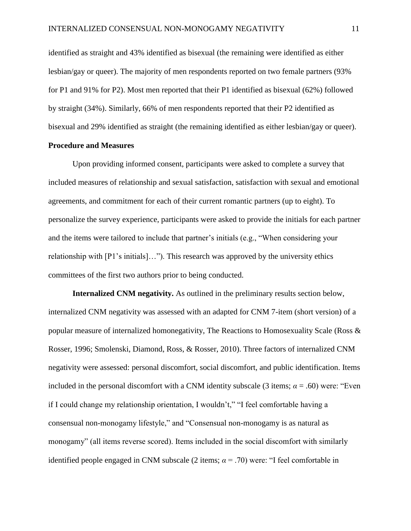identified as straight and 43% identified as bisexual (the remaining were identified as either lesbian/gay or queer). The majority of men respondents reported on two female partners (93% for P1 and 91% for P2). Most men reported that their P1 identified as bisexual (62%) followed by straight (34%). Similarly, 66% of men respondents reported that their P2 identified as bisexual and 29% identified as straight (the remaining identified as either lesbian/gay or queer).

#### **Procedure and Measures**

Upon providing informed consent, participants were asked to complete a survey that included measures of relationship and sexual satisfaction, satisfaction with sexual and emotional agreements, and commitment for each of their current romantic partners (up to eight). To personalize the survey experience, participants were asked to provide the initials for each partner and the items were tailored to include that partner's initials (e.g., "When considering your relationship with [P1's initials]…"). This research was approved by the university ethics committees of the first two authors prior to being conducted.

**Internalized CNM negativity.** As outlined in the preliminary results section below, internalized CNM negativity was assessed with an adapted for CNM 7-item (short version) of a popular measure of internalized homonegativity, The Reactions to Homosexuality Scale (Ross & Rosser, 1996; Smolenski, Diamond, Ross, & Rosser, 2010). Three factors of internalized CNM negativity were assessed: personal discomfort, social discomfort, and public identification. Items included in the personal discomfort with a CNM identity subscale (3 items;  $\alpha$  = .60) were: "Even if I could change my relationship orientation, I wouldn't," "I feel comfortable having a consensual non-monogamy lifestyle," and "Consensual non-monogamy is as natural as monogamy" (all items reverse scored). Items included in the social discomfort with similarly identified people engaged in CNM subscale (2 items;  $\alpha$  = .70) were: "I feel comfortable in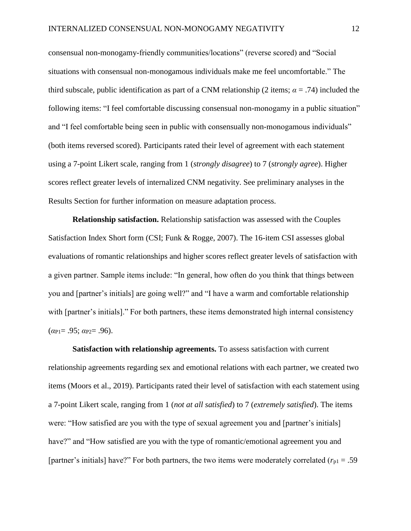consensual non-monogamy-friendly communities/locations" (reverse scored) and "Social situations with consensual non-monogamous individuals make me feel uncomfortable." The third subscale, public identification as part of a CNM relationship (2 items;  $\alpha = .74$ ) included the following items: "I feel comfortable discussing consensual non-monogamy in a public situation" and "I feel comfortable being seen in public with consensually non-monogamous individuals" (both items reversed scored). Participants rated their level of agreement with each statement using a 7-point Likert scale, ranging from 1 (*strongly disagree*) to 7 (*strongly agree*). Higher scores reflect greater levels of internalized CNM negativity. See preliminary analyses in the Results Section for further information on measure adaptation process.

**Relationship satisfaction.** Relationship satisfaction was assessed with the Couples Satisfaction Index Short form (CSI; Funk & Rogge, 2007). The 16-item CSI assesses global evaluations of romantic relationships and higher scores reflect greater levels of satisfaction with a given partner. Sample items include: "In general, how often do you think that things between you and [partner's initials] are going well?" and "I have a warm and comfortable relationship with [partner's initials]." For both partners, these items demonstrated high internal consistency (*α*P1= .95; *α*P2= .96).

**Satisfaction with relationship agreements.** To assess satisfaction with current relationship agreements regarding sex and emotional relations with each partner, we created two items (Moors et al., 2019). Participants rated their level of satisfaction with each statement using a 7-point Likert scale, ranging from 1 (*not at all satisfied*) to 7 (*extremely satisfied*). The items were: "How satisfied are you with the type of sexual agreement you and [partner's initials] have?" and "How satisfied are you with the type of romantic/emotional agreement you and [partner's initials] have?" For both partners, the two items were moderately correlated  $(r_{p1} = .59)$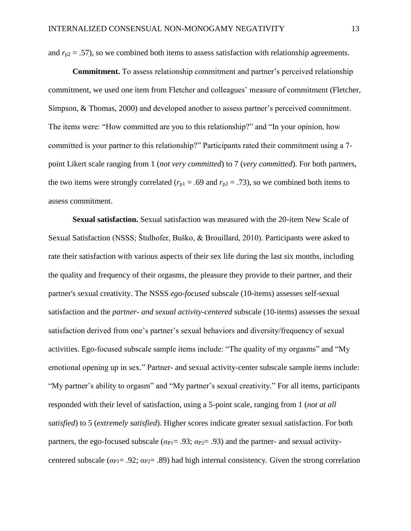and  $r_{p2} = .57$ ), so we combined both items to assess satisfaction with relationship agreements.

**Commitment.** To assess relationship commitment and partner's perceived relationship commitment, we used one item from Fletcher and colleagues' measure of commitment (Fletcher, Simpson, & Thomas, 2000) and developed another to assess partner's perceived commitment. The items were: "How committed are you to this relationship?" and "In your opinion, how committed is your partner to this relationship?" Participants rated their commitment using a 7 point Likert scale ranging from 1 (*not very committed*) to 7 (*very committed*). For both partners, the two items were strongly correlated ( $r_{p1} = .69$  and  $r_{p2} = .73$ ), so we combined both items to assess commitment.

**Sexual satisfaction.** Sexual satisfaction was measured with the 20-item New Scale of Sexual Satisfaction (NSSS; Štulhofer, Buško, & Brouillard, 2010). Participants were asked to rate their satisfaction with various aspects of their sex life during the last six months, including the quality and frequency of their orgasms, the pleasure they provide to their partner, and their partner's sexual creativity. The NSSS *ego-focused* subscale (10-items) assesses self-sexual satisfaction and the *partner- and sexual activity-centered* subscale (10-items) assesses the sexual satisfaction derived from one's partner's sexual behaviors and diversity/frequency of sexual activities. Ego-focused subscale sample items include: "The quality of my orgasms" and "My emotional opening up in sex." Partner- and sexual activity-center subscale sample items include: "My partner's ability to orgasm" and "My partner's sexual creativity." For all items, participants responded with their level of satisfaction, using a 5-point scale, ranging from 1 (*not at all satisfied*) to 5 (*extremely satisfied*). Higher scores indicate greater sexual satisfaction. For both partners, the ego-focused subscale ( $\alpha_{P1}$ = .93;  $\alpha_{P2}$ = .93) and the partner- and sexual activitycentered subscale ( $\alpha_{P1}$ = .92;  $\alpha_{P2}$ = .89) had high internal consistency. Given the strong correlation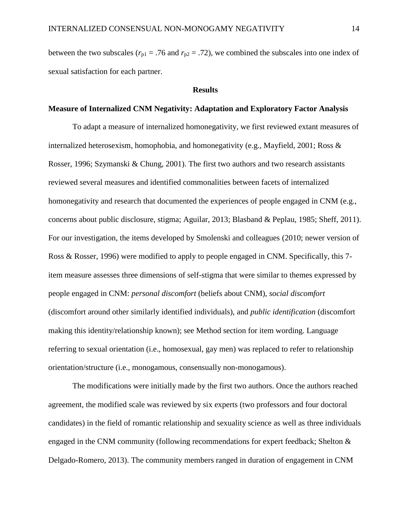between the two subscales ( $r_{p1}$  = .76 and  $r_{p2}$  = .72), we combined the subscales into one index of sexual satisfaction for each partner.

#### **Results**

#### **Measure of Internalized CNM Negativity: Adaptation and Exploratory Factor Analysis**

To adapt a measure of internalized homonegativity, we first reviewed extant measures of internalized heterosexism, homophobia, and homonegativity (e.g., Mayfield, 2001; Ross & Rosser, 1996; Szymanski & Chung, 2001). The first two authors and two research assistants reviewed several measures and identified commonalities between facets of internalized homonegativity and research that documented the experiences of people engaged in CNM (e.g., concerns about public disclosure, stigma; Aguilar, 2013; Blasband & Peplau, 1985; Sheff, 2011). For our investigation, the items developed by Smolenski and colleagues (2010; newer version of Ross & Rosser, 1996) were modified to apply to people engaged in CNM. Specifically, this 7 item measure assesses three dimensions of self-stigma that were similar to themes expressed by people engaged in CNM: *personal discomfort* (beliefs about CNM), *social discomfort* (discomfort around other similarly identified individuals), and *public identification* (discomfort making this identity/relationship known); see Method section for item wording. Language referring to sexual orientation (i.e., homosexual, gay men) was replaced to refer to relationship orientation/structure (i.e., monogamous, consensually non-monogamous).

The modifications were initially made by the first two authors. Once the authors reached agreement, the modified scale was reviewed by six experts (two professors and four doctoral candidates) in the field of romantic relationship and sexuality science as well as three individuals engaged in the CNM community (following recommendations for expert feedback; Shelton & Delgado-Romero, 2013). The community members ranged in duration of engagement in CNM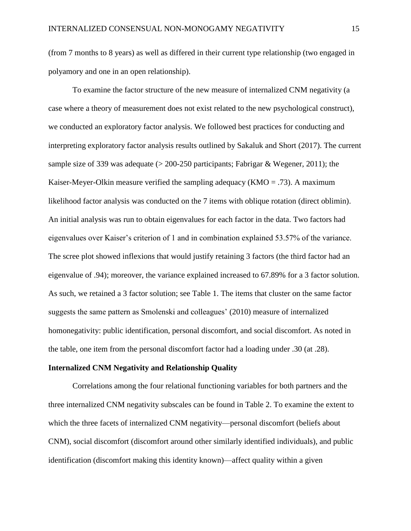(from 7 months to 8 years) as well as differed in their current type relationship (two engaged in polyamory and one in an open relationship).

To examine the factor structure of the new measure of internalized CNM negativity (a case where a theory of measurement does not exist related to the new psychological construct), we conducted an exploratory factor analysis. We followed best practices for conducting and interpreting exploratory factor analysis results outlined by Sakaluk and Short (2017). The current sample size of 339 was adequate (> 200-250 participants; Fabrigar & Wegener, 2011); the Kaiser-Meyer-Olkin measure verified the sampling adequacy ( $KMO = .73$ ). A maximum likelihood factor analysis was conducted on the 7 items with oblique rotation (direct oblimin). An initial analysis was run to obtain eigenvalues for each factor in the data. Two factors had eigenvalues over Kaiser's criterion of 1 and in combination explained 53.57% of the variance. The scree plot showed inflexions that would justify retaining 3 factors (the third factor had an eigenvalue of .94); moreover, the variance explained increased to 67.89% for a 3 factor solution. As such, we retained a 3 factor solution; see Table 1. The items that cluster on the same factor suggests the same pattern as Smolenski and colleagues' (2010) measure of internalized homonegativity: public identification, personal discomfort, and social discomfort. As noted in the table, one item from the personal discomfort factor had a loading under .30 (at .28).

#### **Internalized CNM Negativity and Relationship Quality**

Correlations among the four relational functioning variables for both partners and the three internalized CNM negativity subscales can be found in Table 2. To examine the extent to which the three facets of internalized CNM negativity—personal discomfort (beliefs about CNM), social discomfort (discomfort around other similarly identified individuals), and public identification (discomfort making this identity known)—affect quality within a given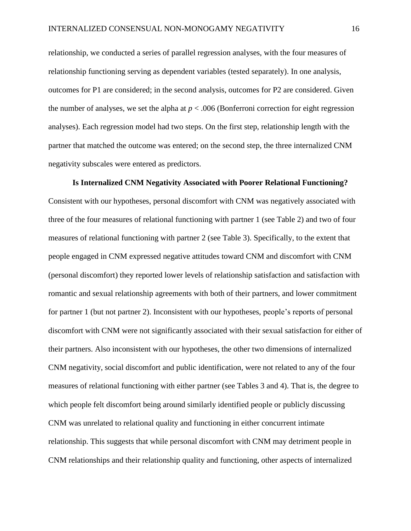relationship, we conducted a series of parallel regression analyses, with the four measures of relationship functioning serving as dependent variables (tested separately). In one analysis, outcomes for P1 are considered; in the second analysis, outcomes for P2 are considered. Given the number of analyses, we set the alpha at  $p < .006$  (Bonferroni correction for eight regression analyses). Each regression model had two steps. On the first step, relationship length with the partner that matched the outcome was entered; on the second step, the three internalized CNM negativity subscales were entered as predictors.

**Is Internalized CNM Negativity Associated with Poorer Relational Functioning?** Consistent with our hypotheses, personal discomfort with CNM was negatively associated with three of the four measures of relational functioning with partner 1 (see Table 2) and two of four measures of relational functioning with partner 2 (see Table 3). Specifically, to the extent that people engaged in CNM expressed negative attitudes toward CNM and discomfort with CNM (personal discomfort) they reported lower levels of relationship satisfaction and satisfaction with romantic and sexual relationship agreements with both of their partners, and lower commitment for partner 1 (but not partner 2). Inconsistent with our hypotheses, people's reports of personal discomfort with CNM were not significantly associated with their sexual satisfaction for either of their partners. Also inconsistent with our hypotheses, the other two dimensions of internalized CNM negativity, social discomfort and public identification, were not related to any of the four measures of relational functioning with either partner (see Tables 3 and 4). That is, the degree to which people felt discomfort being around similarly identified people or publicly discussing CNM was unrelated to relational quality and functioning in either concurrent intimate relationship. This suggests that while personal discomfort with CNM may detriment people in CNM relationships and their relationship quality and functioning, other aspects of internalized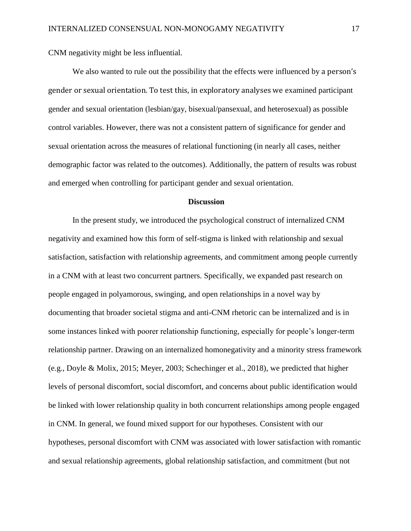CNM negativity might be less influential.

We also wanted to rule out the possibility that the effects were influenced by a person's gender or sexual orientation. To test this, in exploratory analyses we examined participant gender and sexual orientation (lesbian/gay, bisexual/pansexual, and heterosexual) as possible control variables. However, there was not a consistent pattern of significance for gender and sexual orientation across the measures of relational functioning (in nearly all cases, neither demographic factor was related to the outcomes). Additionally, the pattern of results was robust and emerged when controlling for participant gender and sexual orientation.

#### **Discussion**

In the present study, we introduced the psychological construct of internalized CNM negativity and examined how this form of self-stigma is linked with relationship and sexual satisfaction, satisfaction with relationship agreements, and commitment among people currently in a CNM with at least two concurrent partners. Specifically, we expanded past research on people engaged in polyamorous, swinging, and open relationships in a novel way by documenting that broader societal stigma and anti-CNM rhetoric can be internalized and is in some instances linked with poorer relationship functioning, especially for people's longer-term relationship partner. Drawing on an internalized homonegativity and a minority stress framework (e.g., Doyle & Molix, 2015; Meyer, 2003; Schechinger et al., 2018), we predicted that higher levels of personal discomfort, social discomfort, and concerns about public identification would be linked with lower relationship quality in both concurrent relationships among people engaged in CNM. In general, we found mixed support for our hypotheses. Consistent with our hypotheses, personal discomfort with CNM was associated with lower satisfaction with romantic and sexual relationship agreements, global relationship satisfaction, and commitment (but not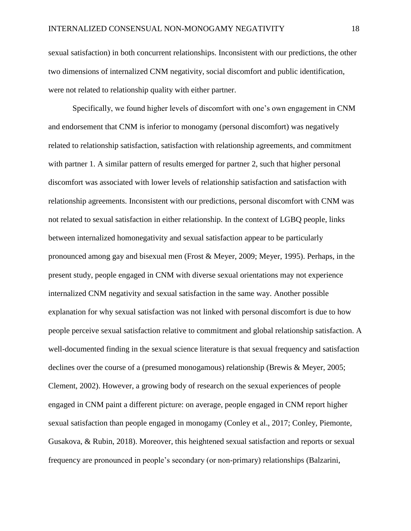sexual satisfaction) in both concurrent relationships. Inconsistent with our predictions, the other two dimensions of internalized CNM negativity, social discomfort and public identification, were not related to relationship quality with either partner.

Specifically, we found higher levels of discomfort with one's own engagement in CNM and endorsement that CNM is inferior to monogamy (personal discomfort) was negatively related to relationship satisfaction, satisfaction with relationship agreements, and commitment with partner 1. A similar pattern of results emerged for partner 2, such that higher personal discomfort was associated with lower levels of relationship satisfaction and satisfaction with relationship agreements. Inconsistent with our predictions, personal discomfort with CNM was not related to sexual satisfaction in either relationship. In the context of LGBQ people, links between internalized homonegativity and sexual satisfaction appear to be particularly pronounced among gay and bisexual men (Frost & Meyer, 2009; Meyer, 1995). Perhaps, in the present study, people engaged in CNM with diverse sexual orientations may not experience internalized CNM negativity and sexual satisfaction in the same way. Another possible explanation for why sexual satisfaction was not linked with personal discomfort is due to how people perceive sexual satisfaction relative to commitment and global relationship satisfaction. A well-documented finding in the sexual science literature is that sexual frequency and satisfaction declines over the course of a (presumed monogamous) relationship (Brewis & Meyer, 2005; Clement, 2002). However, a growing body of research on the sexual experiences of people engaged in CNM paint a different picture: on average, people engaged in CNM report higher sexual satisfaction than people engaged in monogamy (Conley et al., 2017; Conley, Piemonte, Gusakova, & Rubin, 2018). Moreover, this heightened sexual satisfaction and reports or sexual frequency are pronounced in people's secondary (or non-primary) relationships (Balzarini,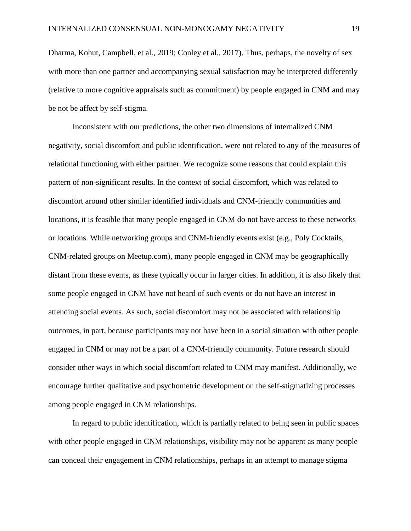Dharma, Kohut, Campbell, et al., 2019; Conley et al., 2017). Thus, perhaps, the novelty of sex with more than one partner and accompanying sexual satisfaction may be interpreted differently (relative to more cognitive appraisals such as commitment) by people engaged in CNM and may be not be affect by self-stigma.

Inconsistent with our predictions, the other two dimensions of internalized CNM negativity, social discomfort and public identification, were not related to any of the measures of relational functioning with either partner. We recognize some reasons that could explain this pattern of non-significant results. In the context of social discomfort, which was related to discomfort around other similar identified individuals and CNM-friendly communities and locations, it is feasible that many people engaged in CNM do not have access to these networks or locations. While networking groups and CNM-friendly events exist (e.g., Poly Cocktails, CNM-related groups on Meetup.com), many people engaged in CNM may be geographically distant from these events, as these typically occur in larger cities. In addition, it is also likely that some people engaged in CNM have not heard of such events or do not have an interest in attending social events. As such, social discomfort may not be associated with relationship outcomes, in part, because participants may not have been in a social situation with other people engaged in CNM or may not be a part of a CNM-friendly community. Future research should consider other ways in which social discomfort related to CNM may manifest. Additionally, we encourage further qualitative and psychometric development on the self-stigmatizing processes among people engaged in CNM relationships.

In regard to public identification, which is partially related to being seen in public spaces with other people engaged in CNM relationships, visibility may not be apparent as many people can conceal their engagement in CNM relationships, perhaps in an attempt to manage stigma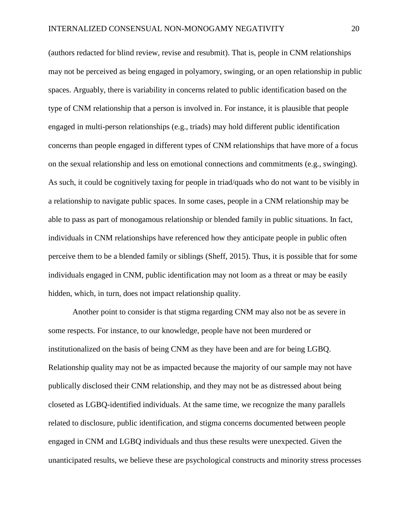(authors redacted for blind review, revise and resubmit). That is, people in CNM relationships may not be perceived as being engaged in polyamory, swinging, or an open relationship in public spaces. Arguably, there is variability in concerns related to public identification based on the type of CNM relationship that a person is involved in. For instance, it is plausible that people engaged in multi-person relationships (e.g., triads) may hold different public identification concerns than people engaged in different types of CNM relationships that have more of a focus on the sexual relationship and less on emotional connections and commitments (e.g., swinging). As such, it could be cognitively taxing for people in triad/quads who do not want to be visibly in a relationship to navigate public spaces. In some cases, people in a CNM relationship may be able to pass as part of monogamous relationship or blended family in public situations. In fact, individuals in CNM relationships have referenced how they anticipate people in public often perceive them to be a blended family or siblings (Sheff, 2015). Thus, it is possible that for some individuals engaged in CNM, public identification may not loom as a threat or may be easily hidden, which, in turn, does not impact relationship quality.

Another point to consider is that stigma regarding CNM may also not be as severe in some respects. For instance, to our knowledge, people have not been murdered or institutionalized on the basis of being CNM as they have been and are for being LGBQ. Relationship quality may not be as impacted because the majority of our sample may not have publically disclosed their CNM relationship, and they may not be as distressed about being closeted as LGBQ-identified individuals. At the same time, we recognize the many parallels related to disclosure, public identification, and stigma concerns documented between people engaged in CNM and LGBQ individuals and thus these results were unexpected. Given the unanticipated results, we believe these are psychological constructs and minority stress processes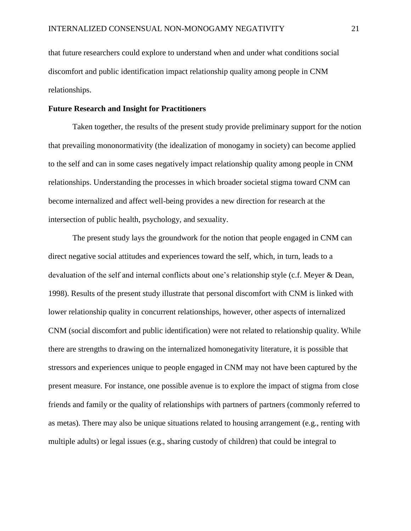that future researchers could explore to understand when and under what conditions social discomfort and public identification impact relationship quality among people in CNM relationships.

#### **Future Research and Insight for Practitioners**

Taken together, the results of the present study provide preliminary support for the notion that prevailing mononormativity (the idealization of monogamy in society) can become applied to the self and can in some cases negatively impact relationship quality among people in CNM relationships. Understanding the processes in which broader societal stigma toward CNM can become internalized and affect well-being provides a new direction for research at the intersection of public health, psychology, and sexuality.

The present study lays the groundwork for the notion that people engaged in CNM can direct negative social attitudes and experiences toward the self, which, in turn, leads to a devaluation of the self and internal conflicts about one's relationship style (c.f. Meyer & Dean, 1998). Results of the present study illustrate that personal discomfort with CNM is linked with lower relationship quality in concurrent relationships, however, other aspects of internalized CNM (social discomfort and public identification) were not related to relationship quality. While there are strengths to drawing on the internalized homonegativity literature, it is possible that stressors and experiences unique to people engaged in CNM may not have been captured by the present measure. For instance, one possible avenue is to explore the impact of stigma from close friends and family or the quality of relationships with partners of partners (commonly referred to as metas). There may also be unique situations related to housing arrangement (e.g., renting with multiple adults) or legal issues (e.g., sharing custody of children) that could be integral to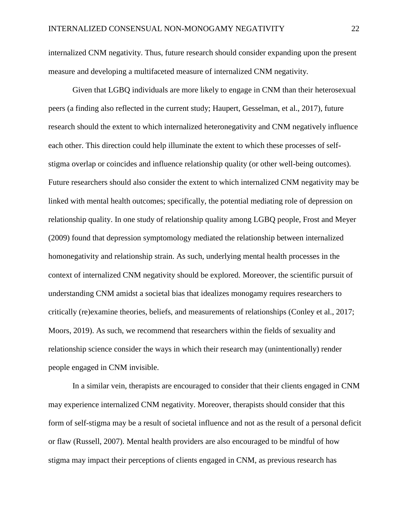internalized CNM negativity. Thus, future research should consider expanding upon the present measure and developing a multifaceted measure of internalized CNM negativity.

Given that LGBQ individuals are more likely to engage in CNM than their heterosexual peers (a finding also reflected in the current study; Haupert, Gesselman, et al., 2017), future research should the extent to which internalized heteronegativity and CNM negatively influence each other. This direction could help illuminate the extent to which these processes of selfstigma overlap or coincides and influence relationship quality (or other well-being outcomes). Future researchers should also consider the extent to which internalized CNM negativity may be linked with mental health outcomes; specifically, the potential mediating role of depression on relationship quality. In one study of relationship quality among LGBQ people, Frost and Meyer (2009) found that depression symptomology mediated the relationship between internalized homonegativity and relationship strain. As such, underlying mental health processes in the context of internalized CNM negativity should be explored. Moreover, the scientific pursuit of understanding CNM amidst a societal bias that idealizes monogamy requires researchers to critically (re)examine theories, beliefs, and measurements of relationships (Conley et al., 2017; Moors, 2019). As such, we recommend that researchers within the fields of sexuality and relationship science consider the ways in which their research may (unintentionally) render people engaged in CNM invisible.

In a similar vein, therapists are encouraged to consider that their clients engaged in CNM may experience internalized CNM negativity. Moreover, therapists should consider that this form of self-stigma may be a result of societal influence and not as the result of a personal deficit or flaw (Russell, 2007). Mental health providers are also encouraged to be mindful of how stigma may impact their perceptions of clients engaged in CNM, as previous research has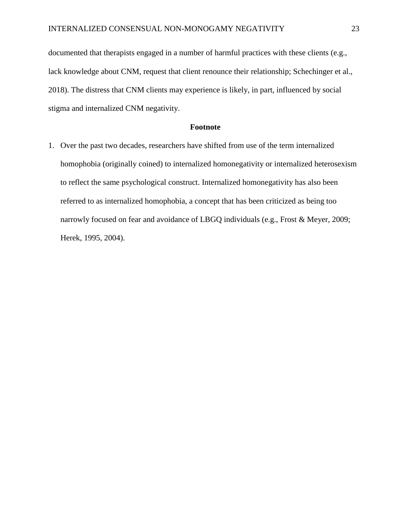documented that therapists engaged in a number of harmful practices with these clients (e.g., lack knowledge about CNM, request that client renounce their relationship; Schechinger et al., 2018). The distress that CNM clients may experience is likely, in part, influenced by social stigma and internalized CNM negativity.

#### **Footnote**

1. Over the past two decades, researchers have shifted from use of the term internalized homophobia (originally coined) to internalized homonegativity or internalized heterosexism to reflect the same psychological construct. Internalized homonegativity has also been referred to as internalized homophobia, a concept that has been criticized as being too narrowly focused on fear and avoidance of LBGQ individuals (e.g., Frost & Meyer, 2009; Herek, 1995, 2004).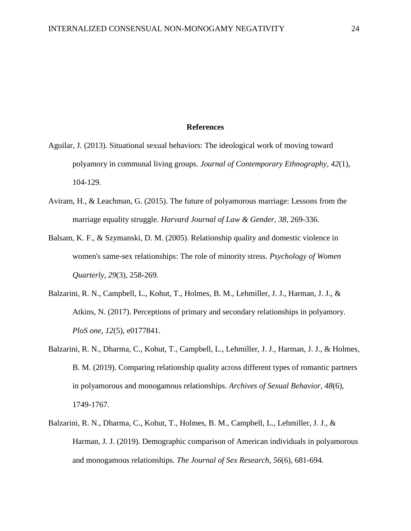#### **References**

- Aguilar, J. (2013). Situational sexual behaviors: The ideological work of moving toward polyamory in communal living groups. *Journal of Contemporary Ethnography, 42*(1), 104-129.
- Aviram, H., & Leachman, G. (2015). The future of polyamorous marriage: Lessons from the marriage equality struggle. *Harvard Journal of Law & Gender, 38*, 269-336.
- Balsam, K. F., & Szymanski, D. M. (2005). Relationship quality and domestic violence in women's same-sex relationships: The role of minority stress. *Psychology of Women Quarterly, 29*(3), 258-269.
- Balzarini, R. N., Campbell, L., Kohut, T., Holmes, B. M., Lehmiller, J. J., Harman, J. J., & Atkins, N. (2017). Perceptions of primary and secondary relationships in polyamory. *PloS one, 12*(5), e0177841.
- Balzarini, R. N., Dharma, C., Kohut, T., Campbell, L., Lehmiller, J. J., Harman, J. J., & Holmes, B. M. (2019). Comparing relationship quality across different types of romantic partners in polyamorous and monogamous relationships. *Archives of Sexual Behavior, 48*(6), 1749-1767.
- Balzarini, R. N., Dharma, C., Kohut, T., Holmes, B. M., Campbell, L., Lehmiller, J. J., & Harman, J. J. (2019). Demographic comparison of American individuals in polyamorous and monogamous relationships. *The Journal of Sex Research, 56*(6), 681-694.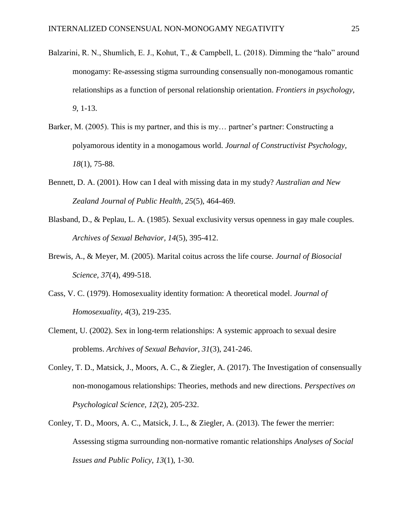- Balzarini, R. N., Shumlich, E. J., Kohut, T., & Campbell, L. (2018). Dimming the "halo" around monogamy: Re-assessing stigma surrounding consensually non-monogamous romantic relationships as a function of personal relationship orientation. *Frontiers in psychology, 9*, 1-13.
- Barker, M. (2005). This is my partner, and this is my... partner's partner: Constructing a polyamorous identity in a monogamous world. *Journal of Constructivist Psychology, 18*(1), 75-88.
- Bennett, D. A. (2001). How can I deal with missing data in my study? *Australian and New Zealand Journal of Public Health, 25*(5), 464-469.
- Blasband, D., & Peplau, L. A. (1985). Sexual exclusivity versus openness in gay male couples. *Archives of Sexual Behavior, 14*(5), 395-412.
- Brewis, A., & Meyer, M. (2005). Marital coitus across the life course. *Journal of Biosocial Science, 37*(4), 499-518.
- Cass, V. C. (1979). Homosexuality identity formation: A theoretical model. *Journal of Homosexuality, 4*(3), 219-235.
- Clement, U. (2002). Sex in long-term relationships: A systemic approach to sexual desire problems. *Archives of Sexual Behavior, 31*(3), 241-246.
- Conley, T. D., Matsick, J., Moors, A. C., & Ziegler, A. (2017). The Investigation of consensually non-monogamous relationships: Theories, methods and new directions. *Perspectives on Psychological Science, 12*(2), 205-232.
- Conley, T. D., Moors, A. C., Matsick, J. L., & Ziegler, A. (2013). The fewer the merrier: Assessing stigma surrounding non-normative romantic relationships *Analyses of Social Issues and Public Policy, 13*(1), 1-30.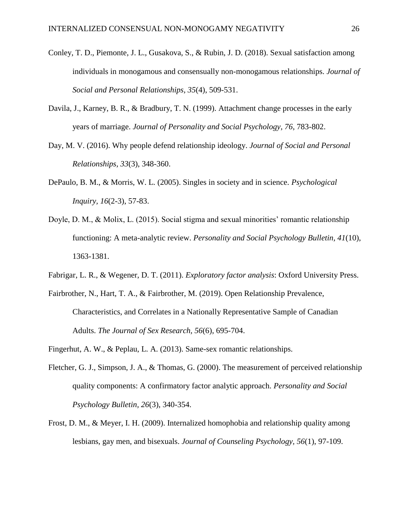- Conley, T. D., Piemonte, J. L., Gusakova, S., & Rubin, J. D. (2018). Sexual satisfaction among individuals in monogamous and consensually non-monogamous relationships. *Journal of Social and Personal Relationships, 35*(4), 509-531.
- Davila, J., Karney, B. R., & Bradbury, T. N. (1999). Attachment change processes in the early years of marriage. *Journal of Personality and Social Psychology, 76*, 783-802.
- Day, M. V. (2016). Why people defend relationship ideology. *Journal of Social and Personal Relationships, 33*(3), 348-360.
- DePaulo, B. M., & Morris, W. L. (2005). Singles in society and in science. *Psychological Inquiry, 16*(2-3), 57-83.
- Doyle, D. M., & Molix, L. (2015). Social stigma and sexual minorities' romantic relationship functioning: A meta-analytic review. *Personality and Social Psychology Bulletin, 41*(10), 1363-1381.
- Fabrigar, L. R., & Wegener, D. T. (2011). *Exploratory factor analysis*: Oxford University Press.
- Fairbrother, N., Hart, T. A., & Fairbrother, M. (2019). Open Relationship Prevalence, Characteristics, and Correlates in a Nationally Representative Sample of Canadian Adults. *The Journal of Sex Research, 56*(6), 695-704.
- Fingerhut, A. W., & Peplau, L. A. (2013). Same-sex romantic relationships.
- Fletcher, G. J., Simpson, J. A., & Thomas, G. (2000). The measurement of perceived relationship quality components: A confirmatory factor analytic approach. *Personality and Social Psychology Bulletin, 26*(3), 340-354.
- Frost, D. M., & Meyer, I. H. (2009). Internalized homophobia and relationship quality among lesbians, gay men, and bisexuals. *Journal of Counseling Psychology, 56*(1), 97-109.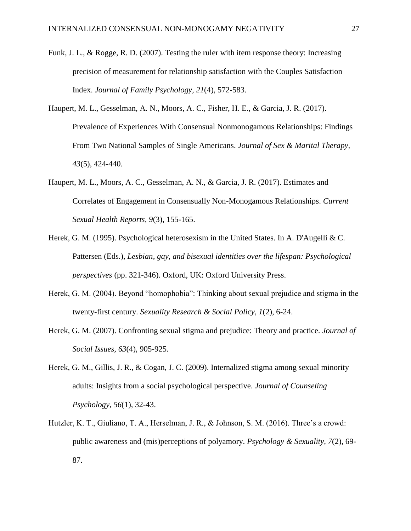- Funk, J. L., & Rogge, R. D. (2007). Testing the ruler with item response theory: Increasing precision of measurement for relationship satisfaction with the Couples Satisfaction Index. *Journal of Family Psychology, 21*(4), 572-583.
- Haupert, M. L., Gesselman, A. N., Moors, A. C., Fisher, H. E., & Garcia, J. R. (2017). Prevalence of Experiences With Consensual Nonmonogamous Relationships: Findings From Two National Samples of Single Americans. *Journal of Sex & Marital Therapy, 43*(5), 424-440.
- Haupert, M. L., Moors, A. C., Gesselman, A. N., & Garcia, J. R. (2017). Estimates and Correlates of Engagement in Consensually Non-Monogamous Relationships. *Current Sexual Health Reports, 9*(3), 155-165.
- Herek, G. M. (1995). Psychological heterosexism in the United States. In A. D'Augelli & C. Pattersen (Eds.), *Lesbian, gay, and bisexual identities over the lifespan: Psychological perspectives* (pp. 321-346). Oxford, UK: Oxford University Press.
- Herek, G. M. (2004). Beyond "homophobia": Thinking about sexual prejudice and stigma in the twenty-first century. *Sexuality Research & Social Policy, 1*(2), 6-24.
- Herek, G. M. (2007). Confronting sexual stigma and prejudice: Theory and practice. *Journal of Social Issues, 63*(4), 905-925.
- Herek, G. M., Gillis, J. R., & Cogan, J. C. (2009). Internalized stigma among sexual minority adults: Insights from a social psychological perspective. *Journal of Counseling Psychology, 56*(1), 32-43.
- Hutzler, K. T., Giuliano, T. A., Herselman, J. R., & Johnson, S. M. (2016). Three's a crowd: public awareness and (mis)perceptions of polyamory. *Psychology & Sexuality, 7*(2), 69- 87.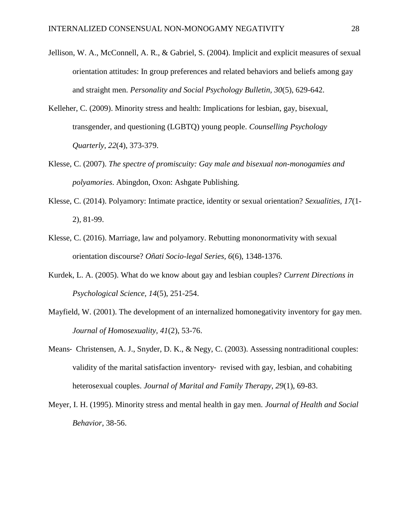- Jellison, W. A., McConnell, A. R., & Gabriel, S. (2004). Implicit and explicit measures of sexual orientation attitudes: In group preferences and related behaviors and beliefs among gay and straight men. *Personality and Social Psychology Bulletin, 30*(5), 629-642.
- Kelleher, C. (2009). Minority stress and health: Implications for lesbian, gay, bisexual, transgender, and questioning (LGBTQ) young people. *Counselling Psychology Quarterly, 22*(4), 373-379.
- Klesse, C. (2007). *The spectre of promiscuity: Gay male and bisexual non-monogamies and polyamories*. Abingdon, Oxon: Ashgate Publishing.
- Klesse, C. (2014). Polyamory: Intimate practice, identity or sexual orientation? *Sexualities, 17*(1- 2), 81-99.
- Klesse, C. (2016). Marriage, law and polyamory. Rebutting mononormativity with sexual orientation discourse? *Oñati Socio-legal Series, 6*(6), 1348-1376.
- Kurdek, L. A. (2005). What do we know about gay and lesbian couples? *Current Directions in Psychological Science, 14*(5), 251-254.
- Mayfield, W. (2001). The development of an internalized homonegativity inventory for gay men. *Journal of Homosexuality, 41*(2), 53-76.
- Means- Christensen, A. J., Snyder, D. K., & Negy, C. (2003). Assessing nontraditional couples: validity of the marital satisfaction inventory‐ revised with gay, lesbian, and cohabiting heterosexual couples. *Journal of Marital and Family Therapy, 29*(1), 69-83.
- Meyer, I. H. (1995). Minority stress and mental health in gay men. *Journal of Health and Social Behavior*, 38-56.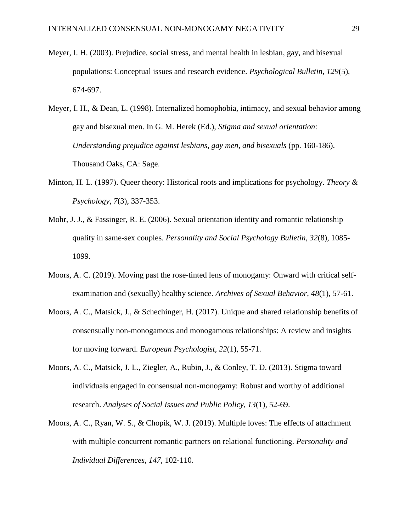- Meyer, I. H. (2003). Prejudice, social stress, and mental health in lesbian, gay, and bisexual populations: Conceptual issues and research evidence. *Psychological Bulletin, 129*(5), 674-697.
- Meyer, I. H., & Dean, L. (1998). Internalized homophobia, intimacy, and sexual behavior among gay and bisexual men. In G. M. Herek (Ed.), *Stigma and sexual orientation: Understanding prejudice against lesbians, gay men, and bisexuals* (pp. 160-186). Thousand Oaks, CA: Sage.
- Minton, H. L. (1997). Queer theory: Historical roots and implications for psychology. *Theory & Psychology, 7*(3), 337-353.
- Mohr, J. J., & Fassinger, R. E. (2006). Sexual orientation identity and romantic relationship quality in same-sex couples. *Personality and Social Psychology Bulletin, 32*(8), 1085- 1099.
- Moors, A. C. (2019). Moving past the rose-tinted lens of monogamy: Onward with critical selfexamination and (sexually) healthy science. *Archives of Sexual Behavior, 48*(1), 57-61.
- Moors, A. C., Matsick, J., & Schechinger, H. (2017). Unique and shared relationship benefits of consensually non-monogamous and monogamous relationships: A review and insights for moving forward. *European Psychologist, 22*(1), 55-71.
- Moors, A. C., Matsick, J. L., Ziegler, A., Rubin, J., & Conley, T. D. (2013). Stigma toward individuals engaged in consensual non-monogamy: Robust and worthy of additional research. *Analyses of Social Issues and Public Policy, 13*(1), 52-69.
- Moors, A. C., Ryan, W. S., & Chopik, W. J. (2019). Multiple loves: The effects of attachment with multiple concurrent romantic partners on relational functioning. *Personality and Individual Differences, 147*, 102-110.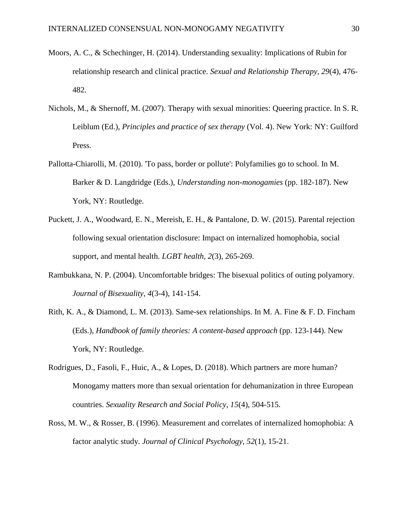- Moors, A. C., & Schechinger, H. (2014). Understanding sexuality: Implications of Rubin for relationship research and clinical practice. *Sexual and Relationship Therapy, 29*(4), 476- 482.
- Nichols, M., & Shernoff, M. (2007). Therapy with sexual minorities: Queering practice. In S. R. Leiblum (Ed.), *Principles and practice of sex therapy* (Vol. 4). New York: NY: Guilford Press.
- Pallotta-Chiarolli, M. (2010). 'To pass, border or pollute': Polyfamilies go to school. In M. Barker & D. Langdridge (Eds.), *Understanding non-monogamies* (pp. 182-187). New York, NY: Routledge.
- Puckett, J. A., Woodward, E. N., Mereish, E. H., & Pantalone, D. W. (2015). Parental rejection following sexual orientation disclosure: Impact on internalized homophobia, social support, and mental health. *LGBT health, 2*(3), 265-269.
- Rambukkana, N. P. (2004). Uncomfortable bridges: The bisexual politics of outing polyamory. *Journal of Bisexuality, 4*(3-4), 141-154.
- Rith, K. A., & Diamond, L. M. (2013). Same-sex relationships. In M. A. Fine & F. D. Fincham (Eds.), *Handbook of family theories: A content-based approach* (pp. 123-144). New York, NY: Routledge.
- Rodrigues, D., Fasoli, F., Huic, A., & Lopes, D. (2018). Which partners are more human? Monogamy matters more than sexual orientation for dehumanization in three European countries. *Sexuality Research and Social Policy, 15*(4), 504-515.
- Ross, M. W., & Rosser, B. (1996). Measurement and correlates of internalized homophobia: A factor analytic study. *Journal of Clinical Psychology, 52*(1), 15-21.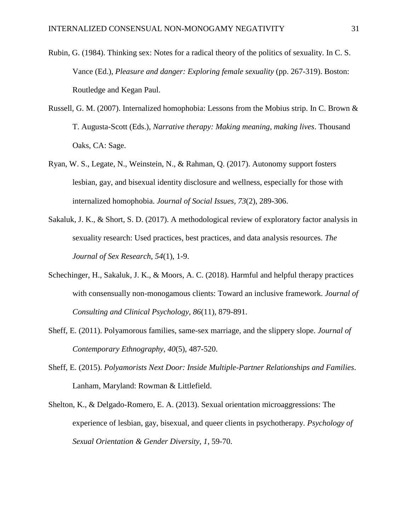- Rubin, G. (1984). Thinking sex: Notes for a radical theory of the politics of sexuality. In C. S. Vance (Ed.), *Pleasure and danger: Exploring female sexuality* (pp. 267-319). Boston: Routledge and Kegan Paul.
- Russell, G. M. (2007). Internalized homophobia: Lessons from the Mobius strip. In C. Brown & T. Augusta-Scott (Eds.), *Narrative therapy: Making meaning, making lives*. Thousand Oaks, CA: Sage.
- Ryan, W. S., Legate, N., Weinstein, N., & Rahman, Q. (2017). Autonomy support fosters lesbian, gay, and bisexual identity disclosure and wellness, especially for those with internalized homophobia. *Journal of Social Issues, 73*(2), 289-306.
- Sakaluk, J. K., & Short, S. D. (2017). A methodological review of exploratory factor analysis in sexuality research: Used practices, best practices, and data analysis resources. *The Journal of Sex Research, 54*(1), 1-9.
- Schechinger, H., Sakaluk, J. K., & Moors, A. C. (2018). Harmful and helpful therapy practices with consensually non-monogamous clients: Toward an inclusive framework. *Journal of Consulting and Clinical Psychology, 86*(11), 879-891.
- Sheff, E. (2011). Polyamorous families, same-sex marriage, and the slippery slope. *Journal of Contemporary Ethnography, 40*(5), 487-520.
- Sheff, E. (2015). *Polyamorists Next Door: Inside Multiple-Partner Relationships and Families*. Lanham, Maryland: Rowman & Littlefield.
- Shelton, K., & Delgado-Romero, E. A. (2013). Sexual orientation microaggressions: The experience of lesbian, gay, bisexual, and queer clients in psychotherapy. *Psychology of Sexual Orientation & Gender Diversity, 1*, 59-70.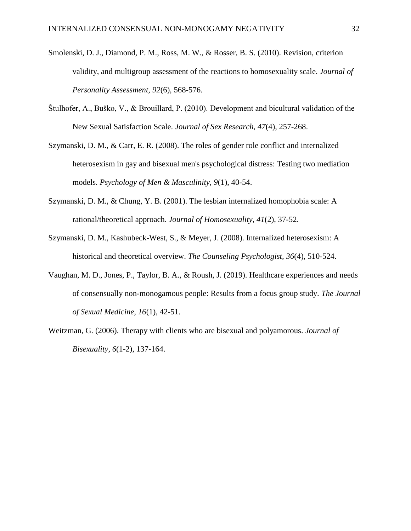- Smolenski, D. J., Diamond, P. M., Ross, M. W., & Rosser, B. S. (2010). Revision, criterion validity, and multigroup assessment of the reactions to homosexuality scale. *Journal of Personality Assessment, 92*(6), 568-576.
- Štulhofer, A., Buško, V., & Brouillard, P. (2010). Development and bicultural validation of the New Sexual Satisfaction Scale. *Journal of Sex Research, 47*(4), 257-268.
- Szymanski, D. M., & Carr, E. R. (2008). The roles of gender role conflict and internalized heterosexism in gay and bisexual men's psychological distress: Testing two mediation models. *Psychology of Men & Masculinity, 9*(1), 40-54.
- Szymanski, D. M., & Chung, Y. B. (2001). The lesbian internalized homophobia scale: A rational/theoretical approach. *Journal of Homosexuality, 41*(2), 37-52.
- Szymanski, D. M., Kashubeck-West, S., & Meyer, J. (2008). Internalized heterosexism: A historical and theoretical overview. *The Counseling Psychologist, 36*(4), 510-524.
- Vaughan, M. D., Jones, P., Taylor, B. A., & Roush, J. (2019). Healthcare experiences and needs of consensually non-monogamous people: Results from a focus group study. *The Journal of Sexual Medicine, 16*(1), 42-51.
- Weitzman, G. (2006). Therapy with clients who are bisexual and polyamorous. *Journal of Bisexuality, 6*(1-2), 137-164.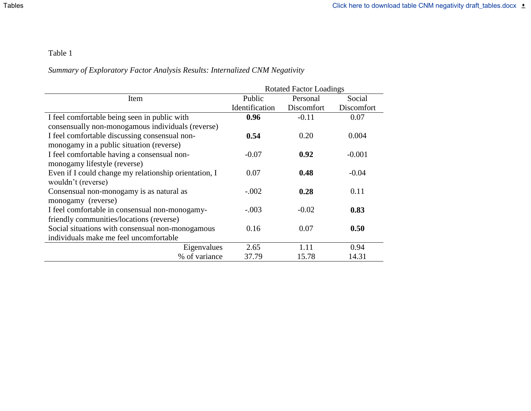## Table 1

# *Summary of Exploratory Factor Analysis Results: Internalized CNM Negativity*

|                                                       | <b>Rotated Factor Loadings</b> |            |            |  |  |  |  |  |  |
|-------------------------------------------------------|--------------------------------|------------|------------|--|--|--|--|--|--|
| Item                                                  | Public                         | Personal   | Social     |  |  |  |  |  |  |
|                                                       | Identification                 | Discomfort | Discomfort |  |  |  |  |  |  |
| I feel comfortable being seen in public with          | 0.96                           | $-0.11$    | 0.07       |  |  |  |  |  |  |
| consensually non-monogamous individuals (reverse)     |                                |            |            |  |  |  |  |  |  |
| I feel comfortable discussing consensual non-         | 0.54                           | 0.20       | 0.004      |  |  |  |  |  |  |
| monogamy in a public situation (reverse)              |                                |            |            |  |  |  |  |  |  |
| I feel comfortable having a consensual non-           | $-0.07$                        | 0.92       | $-0.001$   |  |  |  |  |  |  |
| monogamy lifestyle (reverse)                          |                                |            |            |  |  |  |  |  |  |
| Even if I could change my relationship orientation, I | 0.07                           | 0.48       | $-0.04$    |  |  |  |  |  |  |
| wouldn't (reverse)                                    |                                |            |            |  |  |  |  |  |  |
| Consensual non-monogamy is as natural as              | $-.002$                        | 0.28       | 0.11       |  |  |  |  |  |  |
| monogamy (reverse)                                    |                                |            |            |  |  |  |  |  |  |
| I feel comfortable in consensual non-monogamy-        | $-.003$                        | $-0.02$    | 0.83       |  |  |  |  |  |  |
| friendly communities/locations (reverse)              |                                |            |            |  |  |  |  |  |  |
| Social situations with consensual non-monogamous      | 0.16                           | 0.07       | 0.50       |  |  |  |  |  |  |
| individuals make me feel uncomfortable                |                                |            |            |  |  |  |  |  |  |
| Eigenvalues                                           | 2.65                           | 1.11       | 0.94       |  |  |  |  |  |  |
| % of variance                                         | 37.79                          | 15.78      | 14.31      |  |  |  |  |  |  |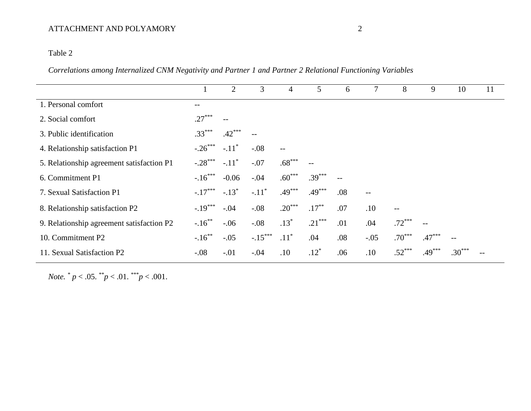## ATTACHMENT AND POLYAMORY 2

## Table 2

*Correlations among Internalized CNM Negativity and Partner 1 and Partner 2 Relational Functioning Variables*

|                                           |           | $\overline{2}$      | 3         | $\overline{4}$ | 5        | 6                 | 7      | 8        | 9        | 10                       | 11 |
|-------------------------------------------|-----------|---------------------|-----------|----------------|----------|-------------------|--------|----------|----------|--------------------------|----|
| 1. Personal comfort                       | $- -$     |                     |           |                |          |                   |        |          |          |                          |    |
| 2. Social comfort                         | $.27***$  | $\qquad \qquad -$   |           |                |          |                   |        |          |          |                          |    |
| 3. Public identification                  | $.33***$  | $.42***$            |           |                |          |                   |        |          |          |                          |    |
| 4. Relationship satisfaction P1           | $-.26***$ | $-.11$ <sup>*</sup> | $-.08$    | $-$            |          |                   |        |          |          |                          |    |
| 5. Relationship agreement satisfaction P1 | $-.28***$ | $-.11$ <sup>*</sup> | $-.07$    | $.68***$       | $-$      |                   |        |          |          |                          |    |
| 6. Commitment P1                          | $-.16***$ | $-0.06$             | $-.04$    | $.60***$       | $.39***$ | $\qquad \qquad -$ |        |          |          |                          |    |
| 7. Sexual Satisfaction P1                 | $-.17***$ | $-.13*$             | $-.11*$   | $.49***$       | $.49***$ | .08               | $-$    |          |          |                          |    |
| 8. Relationship satisfaction P2           | $-.19***$ | $-.04$              | $-.08$    | $.20***$       | $.17***$ | .07               | .10    | $-$      |          |                          |    |
| 9. Relationship agreement satisfaction P2 | $-.16***$ | $-.06$              | $-.08$    | $.13*$         | $.21***$ | .01               | .04    | $.72***$ |          |                          |    |
| 10. Commitment P2                         | $-.16***$ | $-.05$              | $-.15***$ | $.11^*$        | .04      | .08               | $-.05$ | $.70***$ | $.47***$ | $\overline{\phantom{m}}$ |    |
| 11. Sexual Satisfaction P2                | $-.08$    | $-.01$              | $-.04$    | .10            | $.12*$   | .06               | .10    | $.52***$ | $.49***$ | $.30***$                 |    |

*Note.*  $^* p < .05.$   $^* p < .01.$   $^* p < .001.$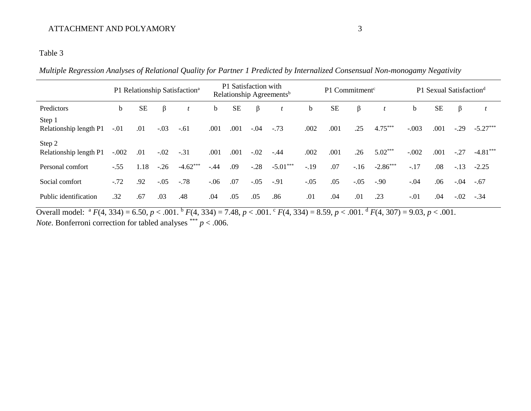## ATTACHMENT AND POLYAMORY 3

### Table 3

*Multiple Regression Analyses of Relational Quality for Partner 1 Predicted by Internalized Consensual Non-monogamy Negativity*

|                                  |             | P1 Relationship Satisfaction <sup>a</sup> |        |            |         | P1 Satisfaction with<br>Relationship Agreements <sup>b</sup> |        |            |             | P1 Commitment <sup>c</sup> |        | P1 Sexual Satisfaction <sup>d</sup> |             |           |         |            |
|----------------------------------|-------------|-------------------------------------------|--------|------------|---------|--------------------------------------------------------------|--------|------------|-------------|----------------------------|--------|-------------------------------------|-------------|-----------|---------|------------|
| Predictors                       | $\mathbf b$ | <b>SE</b>                                 | β      |            | b       | <b>SE</b>                                                    | β      |            | $\mathbf b$ | <b>SE</b>                  | β      |                                     | $\mathbf b$ | <b>SE</b> | $\beta$ |            |
| Step 1<br>Relationship length P1 | $-.01$      | .01                                       | $-.03$ | $-.61$     | .001    | .001                                                         | $-.04$ | $-.73$     | .002        | .001                       | .25    | $4.75***$                           | $-.003$     | .001      | $-.29$  | $-5.27***$ |
| Step 2<br>Relationship length P1 | $-.002$     | .01                                       | $-.02$ | $-.31$     | .001    | .001                                                         | $-.02$ | $-.44$     | .002        | .001                       | .26    | $5.02***$                           | $-.002$     | .001      | $-.27$  | $-4.81***$ |
| Personal comfort                 | $-.55$      | 1.18                                      | $-.26$ | $-4.62***$ | $-.44$  | .09                                                          | $-.28$ | $-5.01***$ | $-19$       | .07                        | $-16$  | $-2.86***$                          | $-.17$      | .08       | $-.13$  | $-2.25$    |
| Social comfort                   | $-.72$      | .92                                       | $-.05$ | $-.78$     | $-0.06$ | .07                                                          | $-.05$ | $-.91$     | $-.05$      | .05                        | $-.05$ | $-.90$                              | $-.04$      | .06       | $-.04$  | $-.67$     |
| Public identification            | .32         | .67                                       | .03    | .48        | .04     | .05                                                          | .05    | .86        | .01         | .04                        | .01    | .23                                 | $-.01$      | .04       | $-.02$  | $-.34$     |

Overall model:  ${}^{a}F(4, 334) = 6.50, p < .001$ .  ${}^{b}F(4, 334) = 7.48, p < .001$ .  ${}^{c}F(4, 334) = 8.59, p < .001$ .  ${}^{d}F(4, 307) = 9.03, p < .001$ . *Note*. Bonferroni correction for tabled analyses \*\*\*  $p < .006$ .